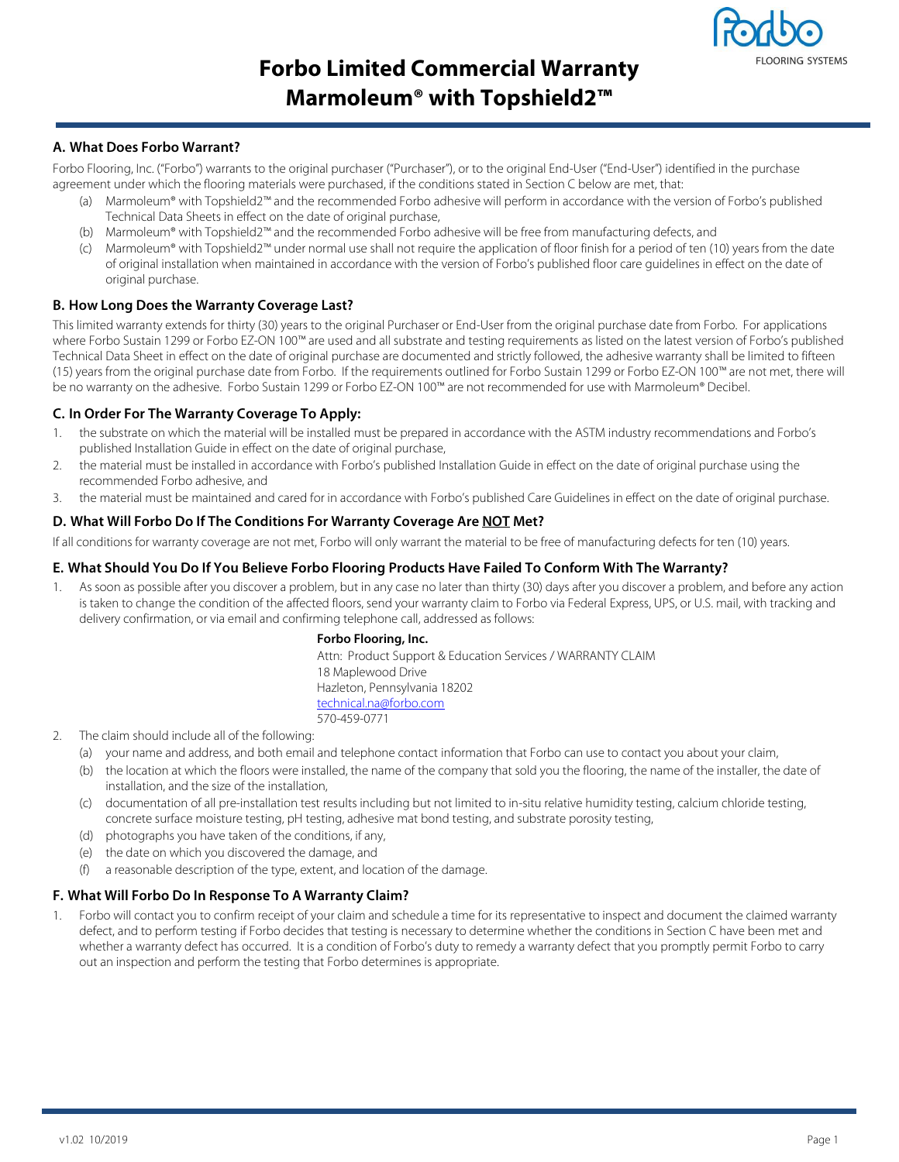

# **Forbo Limited Commercial Warranty Marmoleum® with Topshield2™**

## **A. What Does Forbo Warrant?**

Forbo Flooring, Inc. ("Forbo") warrants to the original purchaser ("Purchaser"), or to the original End-User ("End-User") identified in the purchase agreement under which the flooring materials were purchased, if the conditions stated in Section C below are met, that:

- (a) Marmoleum® with Topshield2™ and the recommended Forbo adhesive will perform in accordance with the version of Forbo's published Technical Data Sheets in effect on the date of original purchase,
- (b) Marmoleum® with Topshield2™ and the recommended Forbo adhesive will be free from manufacturing defects, and
- (c) Marmoleum® with Topshield2™ under normal use shall not require the application of floor finish for a period of ten (10) years from the date of original installation when maintained in accordance with the version of Forbo's published floor care guidelines in effect on the date of original purchase.

## **B. How Long Does the Warranty Coverage Last?**

This limited warranty extends for thirty (30) years to the original Purchaser or End-User from the original purchase date from Forbo. For applications where Forbo Sustain 1299 or Forbo EZ-ON 100™ are used and all substrate and testing requirements as listed on the latest version of Forbo's published Technical Data Sheet in effect on the date of original purchase are documented and strictly followed, the adhesive warranty shall be limited to fifteen (15) years from the original purchase date from Forbo. If the requirements outlined for Forbo Sustain 1299 or Forbo EZ-ON 100™ are not met, there will be no warranty on the adhesive. Forbo Sustain 1299 or Forbo EZ-ON 100™ are not recommended for use with Marmoleum® Decibel.

## **C. In Order For The Warranty Coverage To Apply:**

- 1. the substrate on which the material will be installed must be prepared in accordance with the ASTM industry recommendations and Forbo's published Installation Guide in effect on the date of original purchase,
- 2. the material must be installed in accordance with Forbo's published Installation Guide in effect on the date of original purchase using the recommended Forbo adhesive, and
- 3. the material must be maintained and cared for in accordance with Forbo's published Care Guidelines in effect on the date of original purchase.

#### **D. What Will Forbo Do If The Conditions For Warranty Coverage Are NOT Met?**

If all conditions for warranty coverage are not met, Forbo will only warrant the material to be free of manufacturing defects for ten (10) years.

## **E. What Should You Do If You Believe Forbo Flooring Products Have Failed To Conform With The Warranty?**

As soon as possible after you discover a problem, but in any case no later than thirty (30) days after you discover a problem, and before any action is taken to change the condition of the affected floors, send your warranty claim to Forbo via Federal Express, UPS, or U.S. mail, with tracking and delivery confirmation, or via email and confirming telephone call, addressed as follows:

#### **Forbo Flooring, Inc.**

Attn: Product Support & Education Services / WARRANTY CLAIM 18 Maplewood Drive Hazleton, Pennsylvania 18202 technical.na@forbo.com 570-459-0771

#### 2. The claim should include all of the following:

- (a) your name and address, and both email and telephone contact information that Forbo can use to contact you about your claim,
- (b) the location at which the floors were installed, the name of the company that sold you the flooring, the name of the installer, the date of installation, and the size of the installation,
- (c) documentation of all pre-installation test results including but not limited to in-situ relative humidity testing, calcium chloride testing, concrete surface moisture testing, pH testing, adhesive mat bond testing, and substrate porosity testing,
- (d) photographs you have taken of the conditions, if any,
- (e) the date on which you discovered the damage, and
- (f) a reasonable description of the type, extent, and location of the damage.

## **F. What Will Forbo Do In Response To A Warranty Claim?**

1. Forbo will contact you to confirm receipt of your claim and schedule a time for its representative to inspect and document the claimed warranty defect, and to perform testing if Forbo decides that testing is necessary to determine whether the conditions in Section C have been met and whether a warranty defect has occurred. It is a condition of Forbo's duty to remedy a warranty defect that you promptly permit Forbo to carry out an inspection and perform the testing that Forbo determines is appropriate.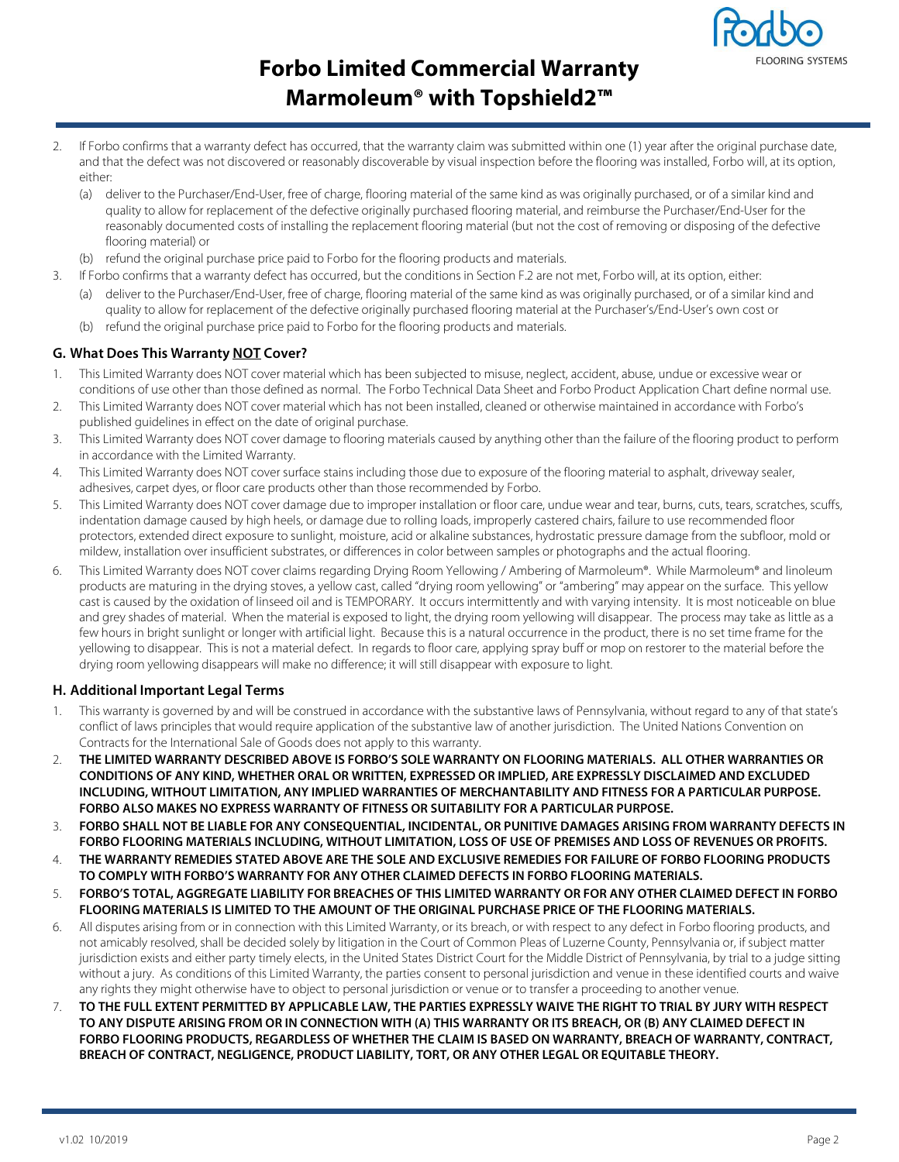

# **Forbo Limited Commercial Warranty Marmoleum® with Topshield2™**

- 2. If Forbo confirms that a warranty defect has occurred, that the warranty claim was submitted within one (1) year after the original purchase date, and that the defect was not discovered or reasonably discoverable by visual inspection before the flooring was installed, Forbo will, at its option, either:
	- (a) deliver to the Purchaser/End-User, free of charge, flooring material of the same kind as was originally purchased, or of a similar kind and quality to allow for replacement of the defective originally purchased flooring material, and reimburse the Purchaser/End-User for the reasonably documented costs of installing the replacement flooring material (but not the cost of removing or disposing of the defective flooring material) or
	- (b) refund the original purchase price paid to Forbo for the flooring products and materials.
- 3. If Forbo confirms that a warranty defect has occurred, but the conditions in Section F.2 are not met, Forbo will, at its option, either:
	- (a) deliver to the Purchaser/End-User, free of charge, flooring material of the same kind as was originally purchased, or of a similar kind and quality to allow for replacement of the defective originally purchased flooring material at the Purchaser's/End-User's own cost or
	- (b) refund the original purchase price paid to Forbo for the flooring products and materials.

## **G. What Does This Warranty NOT Cover?**

- 1. This Limited Warranty does NOT cover material which has been subjected to misuse, neglect, accident, abuse, undue or excessive wear or conditions of use other than those defined as normal. The Forbo Technical Data Sheet and Forbo Product Application Chart define normal use.
- 2. This Limited Warranty does NOT cover material which has not been installed, cleaned or otherwise maintained in accordance with Forbo's published guidelines in effect on the date of original purchase.
- 3. This Limited Warranty does NOT cover damage to flooring materials caused by anything other than the failure of the flooring product to perform in accordance with the Limited Warranty.
- 4. This Limited Warranty does NOT cover surface stains including those due to exposure of the flooring material to asphalt, driveway sealer, adhesives, carpet dyes, or floor care products other than those recommended by Forbo.
- 5. This Limited Warranty does NOT cover damage due to improper installation or floor care, undue wear and tear, burns, cuts, tears, scratches, scuffs, indentation damage caused by high heels, or damage due to rolling loads, improperly castered chairs, failure to use recommended floor protectors, extended direct exposure to sunlight, moisture, acid or alkaline substances, hydrostatic pressure damage from the subfloor, mold or mildew, installation over insufficient substrates, or differences in color between samples or photographs and the actual flooring.
- 6. This Limited Warranty does NOT cover claims regarding Drying Room Yellowing / Ambering of Marmoleum®. While Marmoleum® and linoleum products are maturing in the drying stoves, a yellow cast, called "drying room yellowing" or "ambering" may appear on the surface. This yellow cast is caused by the oxidation of linseed oil and is TEMPORARY. It occurs intermittently and with varying intensity. It is most noticeable on blue and grey shades of material. When the material is exposed to light, the drying room yellowing will disappear. The process may take as little as a few hours in bright sunlight or longer with artificial light. Because this is a natural occurrence in the product, there is no set time frame for the yellowing to disappear. This is not a material defect. In regards to floor care, applying spray buff or mop on restorer to the material before the drying room yellowing disappears will make no difference; it will still disappear with exposure to light.

## **H. Additional Important Legal Terms**

- 1. This warranty is governed by and will be construed in accordance with the substantive laws of Pennsylvania, without regard to any of that state's conflict of laws principles that would require application of the substantive law of another jurisdiction. The United Nations Convention on Contracts for the International Sale of Goods does not apply to this warranty.
- 2. **THE LIMITED WARRANTY DESCRIBED ABOVE IS FORBO'S SOLE WARRANTY ON FLOORING MATERIALS. ALL OTHER WARRANTIES OR CONDITIONS OF ANY KIND, WHETHER ORAL OR WRITTEN, EXPRESSED OR IMPLIED, ARE EXPRESSLY DISCLAIMED AND EXCLUDED INCLUDING, WITHOUT LIMITATION, ANY IMPLIED WARRANTIES OF MERCHANTABILITY AND FITNESS FOR A PARTICULAR PURPOSE. FORBO ALSO MAKES NO EXPRESS WARRANTY OF FITNESS OR SUITABILITY FOR A PARTICULAR PURPOSE.**
- 3. **FORBO SHALL NOT BE LIABLE FOR ANY CONSEQUENTIAL, INCIDENTAL, OR PUNITIVE DAMAGES ARISING FROM WARRANTY DEFECTS IN FORBO FLOORING MATERIALS INCLUDING, WITHOUT LIMITATION, LOSS OF USE OF PREMISES AND LOSS OF REVENUES OR PROFITS.**
- 4. **THE WARRANTY REMEDIES STATED ABOVE ARE THE SOLE AND EXCLUSIVE REMEDIES FOR FAILURE OF FORBO FLOORING PRODUCTS TO COMPLY WITH FORBO'S WARRANTY FOR ANY OTHER CLAIMED DEFECTS IN FORBO FLOORING MATERIALS.**
- 5. **FORBO'S TOTAL, AGGREGATE LIABILITY FOR BREACHES OF THIS LIMITED WARRANTY OR FOR ANY OTHER CLAIMED DEFECT IN FORBO FLOORING MATERIALS IS LIMITED TO THE AMOUNT OF THE ORIGINAL PURCHASE PRICE OF THE FLOORING MATERIALS.**
- 6. All disputes arising from or in connection with this Limited Warranty, or its breach, or with respect to any defect in Forbo flooring products, and not amicably resolved, shall be decided solely by litigation in the Court of Common Pleas of Luzerne County, Pennsylvania or, if subject matter jurisdiction exists and either party timely elects, in the United States District Court for the Middle District of Pennsylvania, by trial to a judge sitting without a jury. As conditions of this Limited Warranty, the parties consent to personal jurisdiction and venue in these identified courts and waive any rights they might otherwise have to object to personal jurisdiction or venue or to transfer a proceeding to another venue.
- 7. **TO THE FULL EXTENT PERMITTED BY APPLICABLE LAW, THE PARTIES EXPRESSLY WAIVE THE RIGHT TO TRIAL BY JURY WITH RESPECT TO ANY DISPUTE ARISING FROM OR IN CONNECTION WITH (A) THIS WARRANTY OR ITS BREACH, OR (B) ANY CLAIMED DEFECT IN FORBO FLOORING PRODUCTS, REGARDLESS OF WHETHER THE CLAIM IS BASED ON WARRANTY, BREACH OF WARRANTY, CONTRACT, BREACH OF CONTRACT, NEGLIGENCE, PRODUCT LIABILITY, TORT, OR ANY OTHER LEGAL OR EQUITABLE THEORY.**